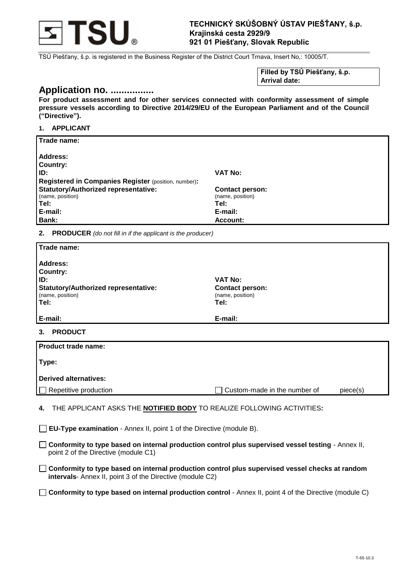

## **TECHNICKÝ SKÚŠOBNÝ ÚSTAV PIEŠŤANY, š.p. Krajinská cesta 2929/9 921 01 Piešťany, Slovak Republic**

TSÚ Piešťany, š.p. is registered in the Business Register of the District Court Trnava, Insert No,: 10005/T.

**Filled by TSÚ Piešťany, š.p. Arrival date:**

# **Application no. ................**

**For product assessment and for other services connected with conformity assessment of simple pressure vessels according to Directive 2014/29/EU of the European Parliament and of the Council ("Directive").**

## **1. APPLICANT**

| Trade name:                                                 |                        |
|-------------------------------------------------------------|------------------------|
| Address:                                                    |                        |
| <b>Country:</b>                                             |                        |
| ID:                                                         | <b>VAT No:</b>         |
| <b>Registered in Companies Register (position, number):</b> |                        |
| <b>Statutory/Authorized representative:</b>                 | <b>Contact person:</b> |
| (name, position)                                            | (name, position)       |
| Tel:                                                        | Tel:                   |
| E-mail:                                                     | E-mail:                |
| Bank:                                                       | Account:               |

**2. PRODUCER** *(do not fill in if the applicant is the producer)*

| Trade name:                                                                                                     |                                                                      |  |
|-----------------------------------------------------------------------------------------------------------------|----------------------------------------------------------------------|--|
| <b>Address:</b><br><b>Country:</b><br>ID:<br>Statutory/Authorized representative:<br>(name, position)<br>  Tel: | <b>VAT No:</b><br><b>Contact person:</b><br>(name, position)<br>Tel: |  |
| E-mail:                                                                                                         | E-mail:                                                              |  |
| <b>PRODUCT</b><br>3.                                                                                            |                                                                      |  |
| <b>Product trade name:</b>                                                                                      |                                                                      |  |

| <b>Product trade name:</b> |                              |          |
|----------------------------|------------------------------|----------|
| Type:                      |                              |          |
| Derived alternatives:      |                              |          |
| Repetitive production      | Custom-made in the number of | piece(s) |
|                            |                              |          |

- **4.** THE APPLICANT ASKS THE **NOTIFIED BODY** TO REALIZE FOLLOWING ACTIVITIES**:**
- **EU-Type examination** Annex II, point 1 of the Directive (module B).
- **Conformity to type based on internal production control plus supervised vessel testing** Annex II, point 2 of the Directive (module C1)
- **Conformity to type based on internal production control plus supervised vessel checks at random intervals**- Annex II, point 3 of the Directive (module C2)
- **Conformity to type based on internal production control**  Annex II, point 4 of the Directive (module C)